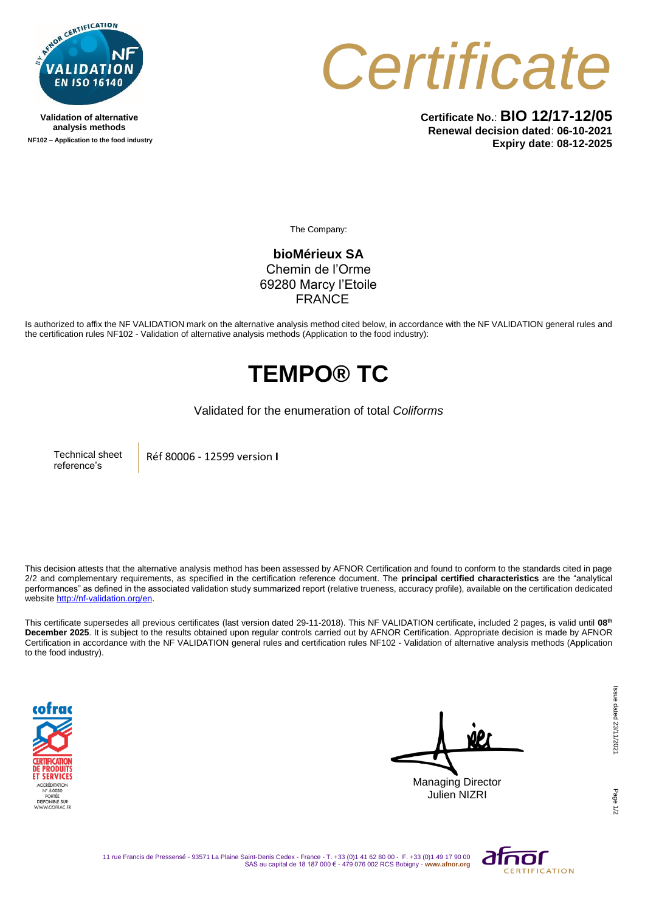

**Validation of alternative analysis methods NF102 – Application to the food industry**



**Certificate No.**: **BIO 12/17-12/05 Renewal decision dated**: **06-10-2021 Expiry date**: **08-12-2025**

The Company:

**bioMérieux SA** Chemin de l'Orme 69280 Marcy l'Etoile FRANCE

Is authorized to affix the NF VALIDATION mark on the alternative analysis method cited below, in accordance with the NF VALIDATION general rules and the certification rules NF102 - Validation of alternative analysis methods (Application to the food industry):

## **TEMPO® TC**

## Validated for the enumeration of total *Coliforms*

Technical sheet reference's

Réf 80006 - 12599 version **I**

This decision attests that the alternative analysis method has been assessed by AFNOR Certification and found to conform to the standards cited in page 2/2 and complementary requirements, as specified in the certification reference document. The **principal certified characteristics** are the "analytical performances" as defined in the associated validation study summarized report (relative trueness, accuracy profile), available on the certification dedicated websit[e http://nf-validation.org/en.](http://nf-validation.org/en)

This certificate supersedes all previous certificates (last version dated 29-11-2018). This NF VALIDATION certificate, included 2 pages, is valid until **08th December 2025**. It is subject to the results obtained upon regular controls carried out by AFNOR Certification. Appropriate decision is made by AFNOR Certification in accordance with the NF VALIDATION general rules and certification rules NF102 - Validation of alternative analysis methods (Application to the food industry).



Managing Director

Julien NIZRI

Page